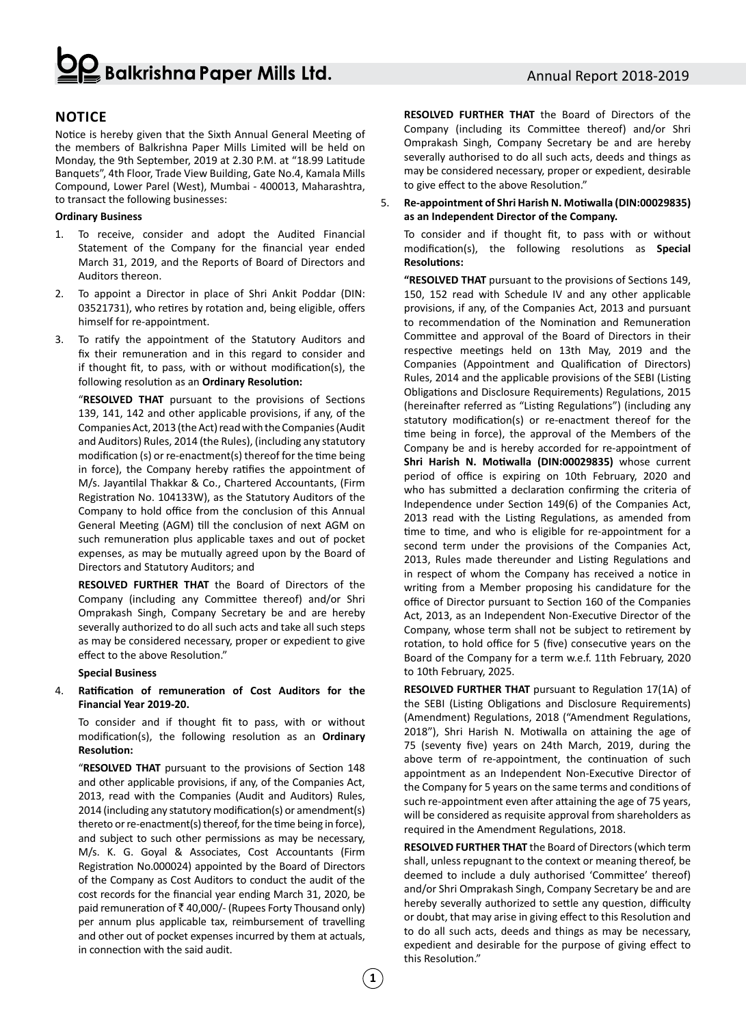## Balkrishna Paper Mills Ltd.

## **Notice**

Notice is hereby given that the Sixth Annual General Meeting of the members of Balkrishna Paper Mills Limited will be held on Monday, the 9th September, 2019 at 2.30 P.M. at "18.99 Latitude Banquets", 4th Floor, Trade View Building, Gate No.4, Kamala Mills Compound, Lower Parel (West), Mumbai - 400013, Maharashtra, to transact the following businesses:

## **Ordinary Business**

- 1. To receive, consider and adopt the Audited Financial Statement of the Company for the financial year ended March 31, 2019, and the Reports of Board of Directors and Auditors thereon.
- 2. To appoint a Director in place of Shri Ankit Poddar (DIN: 03521731), who retires by rotation and, being eligible, offers himself for re-appointment.
- 3. To ratify the appointment of the Statutory Auditors and fix their remuneration and in this regard to consider and if thought fit, to pass, with or without modification(s), the following resolution as an **Ordinary Resolution:**

"**RESOLVED THAT** pursuant to the provisions of Sections 139, 141, 142 and other applicable provisions, if any, of the Companies Act, 2013 (the Act) read with the Companies (Audit and Auditors) Rules, 2014 (the Rules), (including any statutory modification (s) or re-enactment(s) thereof for the time being in force), the Company hereby ratifies the appointment of M/s. Jayantilal Thakkar & Co., Chartered Accountants, (Firm Registration No. 104133W), as the Statutory Auditors of the Company to hold office from the conclusion of this Annual General Meeting (AGM) till the conclusion of next AGM on such remuneration plus applicable taxes and out of pocket expenses, as may be mutually agreed upon by the Board of Directors and Statutory Auditors; and

**RESOLVED FURTHER THAT** the Board of Directors of the Company (including any Committee thereof) and/or Shri Omprakash Singh, Company Secretary be and are hereby severally authorized to do all such acts and take all such steps as may be considered necessary, proper or expedient to give effect to the above Resolution."

### **Special Business**

4. **Ratification of remuneration of Cost Auditors for the Financial Year 2019-20.**

To consider and if thought fit to pass, with or without modification(s), the following resolution as an **Ordinary Resolution:**

"**RESOLVED THAT** pursuant to the provisions of Section 148 and other applicable provisions, if any, of the Companies Act, 2013, read with the Companies (Audit and Auditors) Rules, 2014 (including any statutory modification(s) or amendment(s) thereto or re-enactment(s) thereof, for the time being in force), and subject to such other permissions as may be necessary, M/s. K. G. Goyal & Associates, Cost Accountants (Firm Registration No.000024) appointed by the Board of Directors of the Company as Cost Auditors to conduct the audit of the cost records for the financial year ending March 31, 2020, be paid remuneration of  $\bar{\tau}$  40,000/- (Rupees Forty Thousand only) per annum plus applicable tax, reimbursement of travelling and other out of pocket expenses incurred by them at actuals, in connection with the said audit.

**RESOLVED FURTHER THAT** the Board of Directors of the Company (including its Committee thereof) and/or Shri Omprakash Singh, Company Secretary be and are hereby severally authorised to do all such acts, deeds and things as may be considered necessary, proper or expedient, desirable to give effect to the above Resolution."

## 5. **Re-appointment of Shri Harish N. Motiwalla (DIN:00029835) as an Independent Director of the Company.**

To consider and if thought fit, to pass with or without modification(s), the following resolutions as **Special Resolutions:**

**"RESOLVED THAT** pursuant to the provisions of Sections 149, 150, 152 read with Schedule IV and any other applicable provisions, if any, of the Companies Act, 2013 and pursuant to recommendation of the Nomination and Remuneration Committee and approval of the Board of Directors in their respective meetings held on 13th May, 2019 and the Companies (Appointment and Qualification of Directors) Rules, 2014 and the applicable provisions of the SEBI (Listing Obligations and Disclosure Requirements) Regulations, 2015 (hereinafter referred as "Listing Regulations") (including any statutory modification(s) or re-enactment thereof for the time being in force), the approval of the Members of the Company be and is hereby accorded for re-appointment of **Shri Harish N. Motiwalla (DIN:00029835)** whose current period of office is expiring on 10th February, 2020 and who has submitted a declaration confirming the criteria of Independence under Section 149(6) of the Companies Act, 2013 read with the Listing Regulations, as amended from time to time, and who is eligible for re-appointment for a second term under the provisions of the Companies Act, 2013, Rules made thereunder and Listing Regulations and in respect of whom the Company has received a notice in writing from a Member proposing his candidature for the office of Director pursuant to Section 160 of the Companies Act, 2013, as an Independent Non-Executive Director of the Company, whose term shall not be subject to retirement by rotation, to hold office for 5 (five) consecutive years on the Board of the Company for a term w.e.f. 11th February, 2020 to 10th February, 2025.

**RESOLVED FURTHER THAT** pursuant to Regulation 17(1A) of the SEBI (Listing Obligations and Disclosure Requirements) (Amendment) Regulations, 2018 ("Amendment Regulations, 2018"), Shri Harish N. Motiwalla on attaining the age of 75 (seventy five) years on 24th March, 2019, during the above term of re-appointment, the continuation of such appointment as an Independent Non-Executive Director of the Company for 5 years on the same terms and conditions of such re-appointment even after attaining the age of 75 years, will be considered as requisite approval from shareholders as required in the Amendment Regulations, 2018.

**RESOLVED FURTHER THAT** the Board of Directors (which term shall, unless repugnant to the context or meaning thereof, be deemed to include a duly authorised 'Committee' thereof) and/or Shri Omprakash Singh, Company Secretary be and are hereby severally authorized to settle any question, difficulty or doubt, that may arise in giving effect to this Resolution and to do all such acts, deeds and things as may be necessary, expedient and desirable for the purpose of giving effect to this Resolution."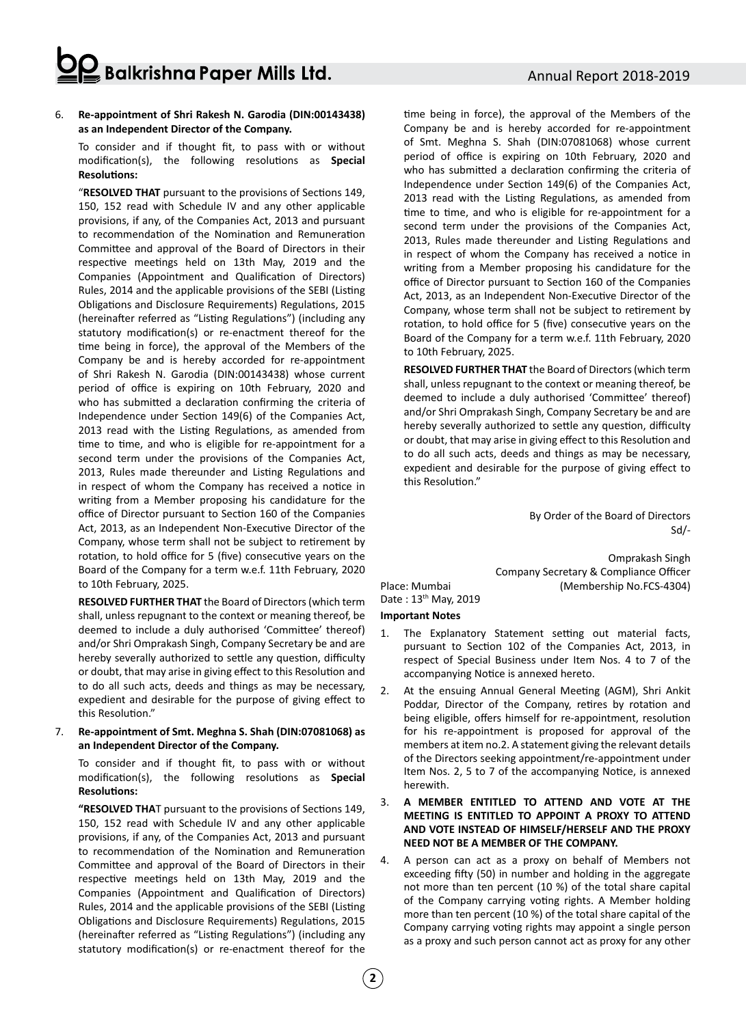## Balkrishna Paper Mills Ltd.

### 6. **Re-appointment of Shri Rakesh N. Garodia (DIN:00143438) as an Independent Director of the Company.**

To consider and if thought fit, to pass with or without modification(s), the following resolutions as **Special Resolutions:**

"**RESOLVED THAT** pursuant to the provisions of Sections 149, 150, 152 read with Schedule IV and any other applicable provisions, if any, of the Companies Act, 2013 and pursuant to recommendation of the Nomination and Remuneration Committee and approval of the Board of Directors in their respective meetings held on 13th May, 2019 and the Companies (Appointment and Qualification of Directors) Rules, 2014 and the applicable provisions of the SEBI (Listing Obligations and Disclosure Requirements) Regulations, 2015 (hereinafter referred as "Listing Regulations") (including any statutory modification(s) or re-enactment thereof for the time being in force), the approval of the Members of the Company be and is hereby accorded for re-appointment of Shri Rakesh N. Garodia (DIN:00143438) whose current period of office is expiring on 10th February, 2020 and who has submitted a declaration confirming the criteria of Independence under Section 149(6) of the Companies Act, 2013 read with the Listing Regulations, as amended from time to time, and who is eligible for re-appointment for a second term under the provisions of the Companies Act, 2013, Rules made thereunder and Listing Regulations and in respect of whom the Company has received a notice in writing from a Member proposing his candidature for the office of Director pursuant to Section 160 of the Companies Act, 2013, as an Independent Non-Executive Director of the Company, whose term shall not be subject to retirement by rotation, to hold office for 5 (five) consecutive years on the Board of the Company for a term w.e.f. 11th February, 2020 to 10th February, 2025.

**RESOLVED FURTHER THAT** the Board of Directors (which term shall, unless repugnant to the context or meaning thereof, be deemed to include a duly authorised 'Committee' thereof) and/or Shri Omprakash Singh, Company Secretary be and are hereby severally authorized to settle any question, difficulty or doubt, that may arise in giving effect to this Resolution and to do all such acts, deeds and things as may be necessary, expedient and desirable for the purpose of giving effect to this Resolution."

## 7. **Re-appointment of Smt. Meghna S. Shah (DIN:07081068) as an Independent Director of the Company.**

To consider and if thought fit, to pass with or without modification(s), the following resolutions as **Special Resolutions:**

**"RESOLVED THA**T pursuant to the provisions of Sections 149, 150, 152 read with Schedule IV and any other applicable provisions, if any, of the Companies Act, 2013 and pursuant to recommendation of the Nomination and Remuneration Committee and approval of the Board of Directors in their respective meetings held on 13th May, 2019 and the Companies (Appointment and Qualification of Directors) Rules, 2014 and the applicable provisions of the SEBI (Listing Obligations and Disclosure Requirements) Regulations, 2015 (hereinafter referred as "Listing Regulations") (including any statutory modification(s) or re-enactment thereof for the time being in force), the approval of the Members of the Company be and is hereby accorded for re-appointment of Smt. Meghna S. Shah (DIN:07081068) whose current period of office is expiring on 10th February, 2020 and who has submitted a declaration confirming the criteria of Independence under Section 149(6) of the Companies Act, 2013 read with the Listing Regulations, as amended from time to time, and who is eligible for re-appointment for a second term under the provisions of the Companies Act, 2013, Rules made thereunder and Listing Regulations and in respect of whom the Company has received a notice in writing from a Member proposing his candidature for the office of Director pursuant to Section 160 of the Companies Act, 2013, as an Independent Non-Executive Director of the Company, whose term shall not be subject to retirement by rotation, to hold office for 5 (five) consecutive years on the Board of the Company for a term w.e.f. 11th February, 2020 to 10th February, 2025.

**RESOLVED FURTHER THAT** the Board of Directors (which term shall, unless repugnant to the context or meaning thereof, be deemed to include a duly authorised 'Committee' thereof) and/or Shri Omprakash Singh, Company Secretary be and are hereby severally authorized to settle any question, difficulty or doubt, that may arise in giving effect to this Resolution and to do all such acts, deeds and things as may be necessary, expedient and desirable for the purpose of giving effect to this Resolution."

> By Order of the Board of Directors Sd/-

Omprakash Singh Company Secretary & Compliance Officer Place: Mumbai (Membership No.FCS-4304)

Date : 13th May, 2019

## **Important Notes**

- 1. The Explanatory Statement setting out material facts, pursuant to Section 102 of the Companies Act, 2013, in respect of Special Business under Item Nos. 4 to 7 of the accompanying Notice is annexed hereto.
- 2. At the ensuing Annual General Meeting (AGM), Shri Ankit Poddar, Director of the Company, retires by rotation and being eligible, offers himself for re-appointment, resolution for his re-appointment is proposed for approval of the members at item no.2. A statement giving the relevant details of the Directors seeking appointment/re-appointment under Item Nos. 2, 5 to 7 of the accompanying Notice, is annexed herewith.
- 3. **A MEMBER ENTITLED TO ATTEND AND VOTE AT THE MEETING IS ENTITLED TO APPOINT A PROXY TO ATTEND AND VOTE INSTEAD OF HIMSELF/HERSELF AND THE PROXY NEED NOT BE A MEMBER OF THE COMPANY.**
- 4. A person can act as a proxy on behalf of Members not exceeding fifty (50) in number and holding in the aggregate not more than ten percent (10 %) of the total share capital of the Company carrying voting rights. A Member holding more than ten percent (10 %) of the total share capital of the Company carrying voting rights may appoint a single person as a proxy and such person cannot act as proxy for any other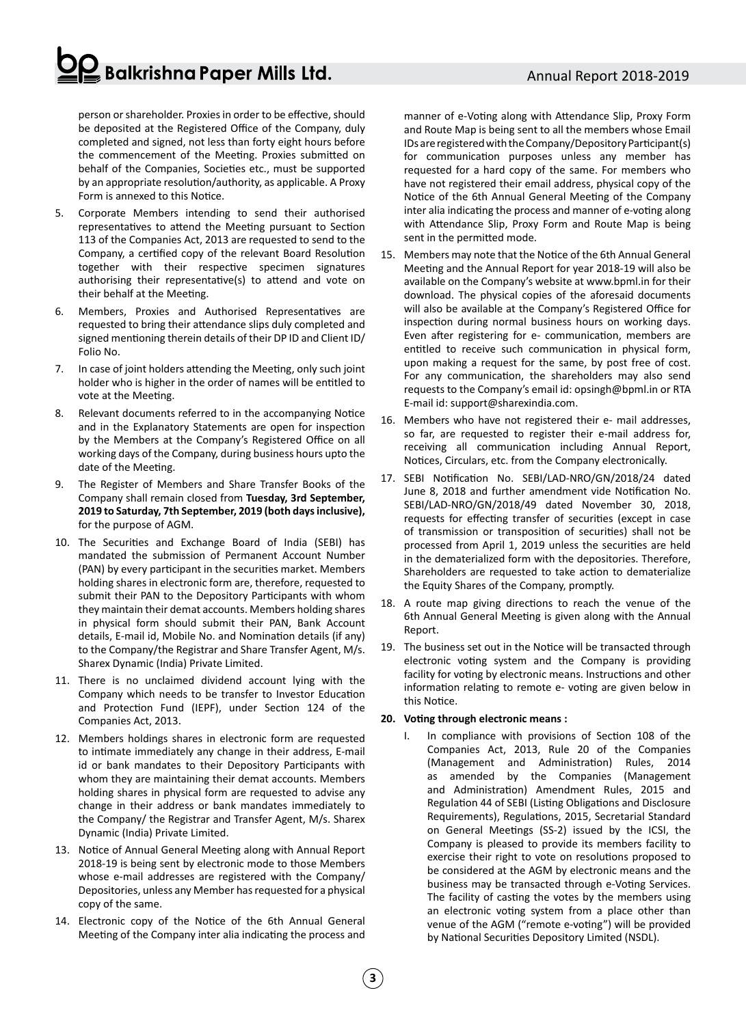## $\frac{2}{3}$  Balkrishna Paper Mills Ltd.

person or shareholder. Proxies in order to be effective, should be deposited at the Registered Office of the Company, duly completed and signed, not less than forty eight hours before the commencement of the Meeting. Proxies submitted on behalf of the Companies, Societies etc., must be supported by an appropriate resolution/authority, as applicable. A Proxy Form is annexed to this Notice.

- 5. Corporate Members intending to send their authorised representatives to attend the Meeting pursuant to Section 113 of the Companies Act, 2013 are requested to send to the Company, a certified copy of the relevant Board Resolution together with their respective specimen signatures authorising their representative(s) to attend and vote on their behalf at the Meeting.
- 6. Members, Proxies and Authorised Representatives are requested to bring their attendance slips duly completed and signed mentioning therein details of their DP ID and Client ID/ Folio No.
- 7. In case of joint holders attending the Meeting, only such joint holder who is higher in the order of names will be entitled to vote at the Meeting.
- 8. Relevant documents referred to in the accompanying Notice and in the Explanatory Statements are open for inspection by the Members at the Company's Registered Office on all working days of the Company, during business hours upto the date of the Meeting.
- 9. The Register of Members and Share Transfer Books of the Company shall remain closed from **Tuesday, 3rd September, 2019 to Saturday, 7th September, 2019 (both days inclusive),** for the purpose of AGM.
- 10. The Securities and Exchange Board of India (SEBI) has mandated the submission of Permanent Account Number (PAN) by every participant in the securities market. Members holding shares in electronic form are, therefore, requested to submit their PAN to the Depository Participants with whom they maintain their demat accounts. Members holding shares in physical form should submit their PAN, Bank Account details, E-mail id, Mobile No. and Nomination details (if any) to the Company/the Registrar and Share Transfer Agent, M/s. Sharex Dynamic (India) Private Limited.
- 11. There is no unclaimed dividend account lying with the Company which needs to be transfer to Investor Education and Protection Fund (IEPF), under Section 124 of the Companies Act, 2013.
- 12. Members holdings shares in electronic form are requested to intimate immediately any change in their address, E-mail id or bank mandates to their Depository Participants with whom they are maintaining their demat accounts. Members holding shares in physical form are requested to advise any change in their address or bank mandates immediately to the Company/ the Registrar and Transfer Agent, M/s. Sharex Dynamic (India) Private Limited.
- 13. Notice of Annual General Meeting along with Annual Report 2018-19 is being sent by electronic mode to those Members whose e-mail addresses are registered with the Company/ Depositories, unless any Member has requested for a physical copy of the same.
- 14. Electronic copy of the Notice of the 6th Annual General Meeting of the Company inter alia indicating the process and

manner of e-Voting along with Attendance Slip, Proxy Form and Route Map is being sent to all the members whose Email IDs are registered with the Company/Depository Participant(s) for communication purposes unless any member has requested for a hard copy of the same. For members who have not registered their email address, physical copy of the Notice of the 6th Annual General Meeting of the Company inter alia indicating the process and manner of e-voting along with Attendance Slip, Proxy Form and Route Map is being sent in the permitted mode.

- 15. Members may note that the Notice of the 6th Annual General Meeting and the Annual Report for year 2018-19 will also be available on the Company's website at www.bpml.in for their download. The physical copies of the aforesaid documents will also be available at the Company's Registered Office for inspection during normal business hours on working days. Even after registering for e- communication, members are entitled to receive such communication in physical form, upon making a request for the same, by post free of cost. For any communication, the shareholders may also send requests to the Company's email id: opsingh@bpml.in or RTA E-mail id: support@sharexindia.com.
- 16. Members who have not registered their e- mail addresses, so far, are requested to register their e-mail address for, receiving all communication including Annual Report, Notices, Circulars, etc. from the Company electronically.
- 17. SEBI Notification No. SEBI/LAD-NRO/GN/2018/24 dated June 8, 2018 and further amendment vide Notification No. SEBI/LAD-NRO/GN/2018/49 dated November 30, 2018, requests for effecting transfer of securities (except in case of transmission or transposition of securities) shall not be processed from April 1, 2019 unless the securities are held in the dematerialized form with the depositories. Therefore, Shareholders are requested to take action to dematerialize the Equity Shares of the Company, promptly.
- 18. A route map giving directions to reach the venue of the 6th Annual General Meeting is given along with the Annual Report.
- 19. The business set out in the Notice will be transacted through electronic voting system and the Company is providing facility for voting by electronic means. Instructions and other information relating to remote e- voting are given below in this Notice.

## **20. Voting through electronic means :**

I. In compliance with provisions of Section 108 of the Companies Act, 2013, Rule 20 of the Companies (Management and Administration) Rules, 2014 as amended by the Companies (Management and Administration) Amendment Rules, 2015 and Regulation 44 of SEBI (Listing Obligations and Disclosure Requirements), Regulations, 2015, Secretarial Standard on General Meetings (SS-2) issued by the ICSI, the Company is pleased to provide its members facility to exercise their right to vote on resolutions proposed to be considered at the AGM by electronic means and the business may be transacted through e-Voting Services. The facility of casting the votes by the members using an electronic voting system from a place other than venue of the AGM ("remote e-voting") will be provided by National Securities Depository Limited (NSDL).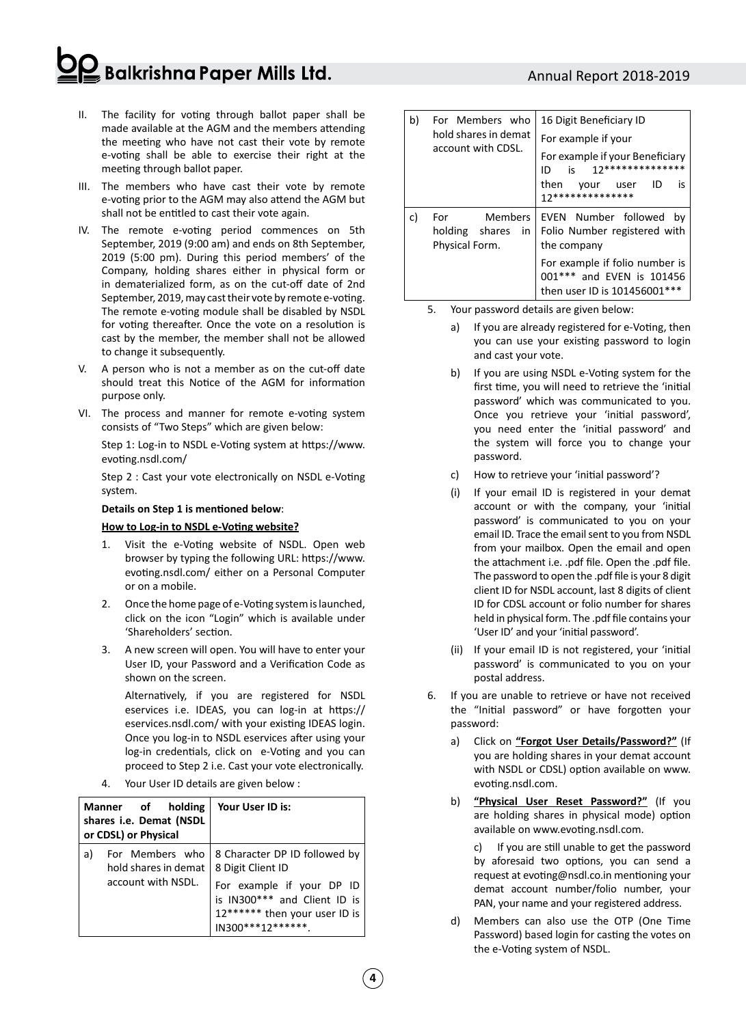## **Balkrishna Paper Mills Ltd.**

- II. The facility for voting through ballot paper shall be made available at the AGM and the members attending the meeting who have not cast their vote by remote e-voting shall be able to exercise their right at the meeting through ballot paper.
- III. The members who have cast their vote by remote e-voting prior to the AGM may also attend the AGM but shall not be entitled to cast their vote again.
- IV. The remote e-voting period commences on 5th September, 2019 (9:00 am) and ends on 8th September, 2019 (5:00 pm). During this period members' of the Company, holding shares either in physical form or in dematerialized form, as on the cut-off date of 2nd September, 2019, may cast their vote by remote e-voting. The remote e-voting module shall be disabled by NSDL for voting thereafter. Once the vote on a resolution is cast by the member, the member shall not be allowed to change it subsequently.
- V. A person who is not a member as on the cut-off date should treat this Notice of the AGM for information purpose only.
- VI. The process and manner for remote e-voting system consists of "Two Steps" which are given below:

Step 1: Log-in to NSDL e-Voting system at https://www. evoting.nsdl.com/

Step 2 : Cast your vote electronically on NSDL e-Voting system.

#### **Details on Step 1 is mentioned below**:

### **How to Log-in to NSDL e-Voting website?**

- 1. Visit the e-Voting website of NSDL. Open web browser by typing the following URL: https://www. evoting.nsdl.com/ either on a Personal Computer or on a mobile.
- 2. Once the home page of e-Voting system is launched, click on the icon "Login" which is available under 'Shareholders' section.
- 3. A new screen will open. You will have to enter your User ID, your Password and a Verification Code as shown on the screen.

Alternatively, if you are registered for NSDL eservices i.e. IDEAS, you can log-in at https:// eservices.nsdl.com/ with your existing IDEAS login. Once you log-in to NSDL eservices after using your log-in credentials, click on e-Voting and you can proceed to Step 2 i.e. Cast your vote electronically.

4. Your User ID details are given below :

| holding<br>Manner of<br>shares i.e. Demat (NSDL<br>or CDSL) or Physical |                                                               | Your User ID is:                                                                                                                                                     |
|-------------------------------------------------------------------------|---------------------------------------------------------------|----------------------------------------------------------------------------------------------------------------------------------------------------------------------|
| a)                                                                      | For Members who<br>hold shares in demat<br>account with NSDL. | 8 Character DP ID followed by<br>8 Digit Client ID<br>For example if your DP ID<br>is IN300*** and Client ID is<br>12****** then your user ID is<br>IN300***12****** |

| b) | For Members who<br>hold shares in demat<br>account with CDSL. | 16 Digit Beneficiary ID<br>For example if your<br>For example if your Beneficiary<br>i٢<br>חו<br>then<br>ID<br>is<br>user<br>your<br>17**************                              |  |  |
|----|---------------------------------------------------------------|------------------------------------------------------------------------------------------------------------------------------------------------------------------------------------|--|--|
| c) | For<br>holding shares<br>in<br>Physical Form.                 | Members   EVEN Number followed<br>bv<br>Folio Number registered with<br>the company<br>For example if folio number is<br>001*** and EVEN is 101456<br>then user ID is 101456001*** |  |  |

- 5. Your password details are given below:
	- a) If you are already registered for e-Voting, then you can use your existing password to login and cast your vote.
	- b) If you are using NSDL e-Voting system for the first time, you will need to retrieve the 'initial password' which was communicated to you. Once you retrieve your 'initial password', you need enter the 'initial password' and the system will force you to change your password.
	- c) How to retrieve your 'initial password'?
	- (i) If your email ID is registered in your demat account or with the company, your 'initial password' is communicated to you on your email ID. Trace the email sent to you from NSDL from your mailbox. Open the email and open the attachment i.e. .pdf file. Open the .pdf file. The password to open the .pdf file is your 8 digit client ID for NSDL account, last 8 digits of client ID for CDSL account or folio number for shares held in physical form. The .pdf file contains your 'User ID' and your 'initial password'.
	- (ii) If your email ID is not registered, your 'initial password' is communicated to you on your postal address.
- 6. If you are unable to retrieve or have not received the "Initial password" or have forgotten your password:
	- a) Click on **"Forgot User Details/Password?"** (If you are holding shares in your demat account with NSDL or CDSL) option available on www. evoting.nsdl.com.
	- b) **"Physical User Reset Password?"** (If you are holding shares in physical mode) option available on www.evoting.nsdl.com.

c) If you are still unable to get the password by aforesaid two options, you can send a request at evoting@nsdl.co.in mentioning your demat account number/folio number, your PAN, your name and your registered address.

d) Members can also use the OTP (One Time Password) based login for casting the votes on the e-Voting system of NSDL.

## Annual Report 2018-2019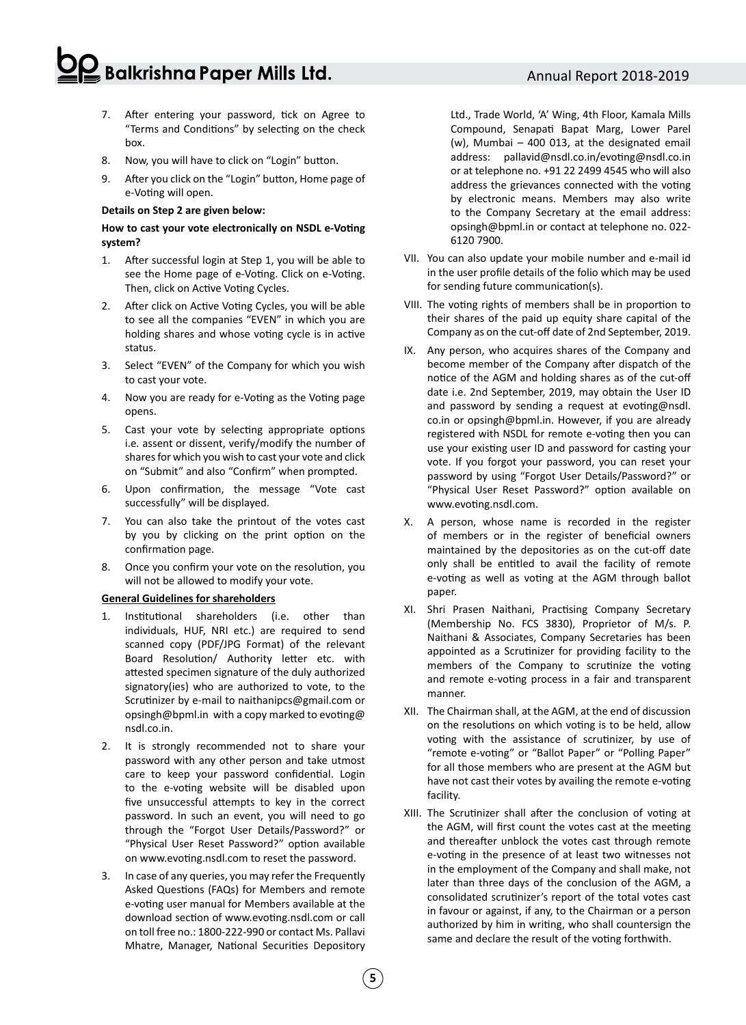## $\frac{2}{3}$ Balkrishna Paper Mills Ltd.

- 7. After entering your password, tick on Agree to "Terms and Conditions" by selecting on the check box.
- 8. Now, you will have to click on "Login" button.
- 9. After you click on the "Login" button, Home page of e-Voting will open.

#### **Details on Step 2 are given below:**

## **How to cast your vote electronically on NSDL e-Voting system?**

- 1. After successful login at Step 1, you will be able to see the Home page of e-Voting. Click on e-Voting. Then, click on Active Voting Cycles.
- 2. After click on Active Voting Cycles, you will be able to see all the companies "EVEN" in which you are holding shares and whose voting cycle is in active status.
- 3. Select "EVEN" of the Company for which you wish to cast your vote.
- 4. Now you are ready for e-Voting as the Voting page opens.
- 5. Cast your vote by selecting appropriate options i.e. assent or dissent, verify/modify the number of shares for which you wish to cast your vote and click on "Submit" and also "Confirm" when prompted.
- 6. Upon confirmation, the message "Vote cast successfully" will be displayed.
- 7. You can also take the printout of the votes cast by you by clicking on the print option on the confirmation page.
- 8. Once you confirm your vote on the resolution, you will not be allowed to modify your vote.

#### **General Guidelines for shareholders**

- 1. Institutional shareholders (i.e. other than individuals, HUF, NRI etc.) are required to send scanned copy (PDF/JPG Format) of the relevant Board Resolution/ Authority letter etc. with attested specimen signature of the duly authorized signatory(ies) who are authorized to vote, to the Scrutinizer by e-mail to naithanipcs@gmail.com or opsingh@bpml.in with a copy marked to evoting@ nsdl.co.in.
- 2. It is strongly recommended not to share your password with any other person and take utmost care to keep your password confidential. Login to the e-voting website will be disabled upon five unsuccessful attempts to key in the correct password. In such an event, you will need to go through the "Forgot User Details/Password?" or "Physical User Reset Password?" option available on www.evoting.nsdl.com to reset the password.
- 3. In case of any queries, you may refer the Frequently Asked Questions (FAQs) for Members and remote e-voting user manual for Members available at the download section of www.evoting.nsdl.com or call on toll free no.: 1800-222-990 or contact Ms. Pallavi Mhatre, Manager, National Securities Depository

Ltd., Trade World, 'A' Wing, 4th Floor, Kamala Mills Compound, Senapati Bapat Marg, Lower Parel (w), Mumbai – 400 013, at the designated email address: pallavid@nsdl.co.in/evoting@nsdl.co.in or at telephone no. +91 22 2499 4545 who will also address the grievances connected with the voting by electronic means. Members may also write to the Company Secretary at the email address: opsingh@bpml.in or contact at telephone no. 022- 6120 7900.

- VII. You can also update your mobile number and e-mail id in the user profile details of the folio which may be used for sending future communication(s).
- VIII. The voting rights of members shall be in proportion to their shares of the paid up equity share capital of the Company as on the cut-off date of 2nd September, 2019.
- IX. Any person, who acquires shares of the Company and become member of the Company after dispatch of the notice of the AGM and holding shares as of the cut-off date i.e. 2nd September, 2019, may obtain the User ID and password by sending a request at evoting@nsdl. co.in or opsingh@bpml.in. However, if you are already registered with NSDL for remote e-voting then you can use your existing user ID and password for casting your vote. If you forgot your password, you can reset your password by using "Forgot User Details/Password?" or "Physical User Reset Password?" option available on www.evoting.nsdl.com.
- X. A person, whose name is recorded in the register of members or in the register of beneficial owners maintained by the depositories as on the cut-off date only shall be entitled to avail the facility of remote e-voting as well as voting at the AGM through ballot paper.
- XI. Shri Prasen Naithani, Practising Company Secretary (Membership No. FCS 3830), Proprietor of M/s. P. Naithani & Associates, Company Secretaries has been appointed as a Scrutinizer for providing facility to the members of the Company to scrutinize the voting and remote e-voting process in a fair and transparent manner.
- XII. The Chairman shall, at the AGM, at the end of discussion on the resolutions on which voting is to be held, allow voting with the assistance of scrutinizer, by use of "remote e-voting" or "Ballot Paper" or "Polling Paper" for all those members who are present at the AGM but have not cast their votes by availing the remote e-voting facility.
- XIII. The Scrutinizer shall after the conclusion of voting at the AGM, will first count the votes cast at the meeting and thereafter unblock the votes cast through remote e-voting in the presence of at least two witnesses not in the employment of the Company and shall make, not later than three days of the conclusion of the AGM, a consolidated scrutinizer's report of the total votes cast in favour or against, if any, to the Chairman or a person authorized by him in writing, who shall countersign the same and declare the result of the voting forthwith.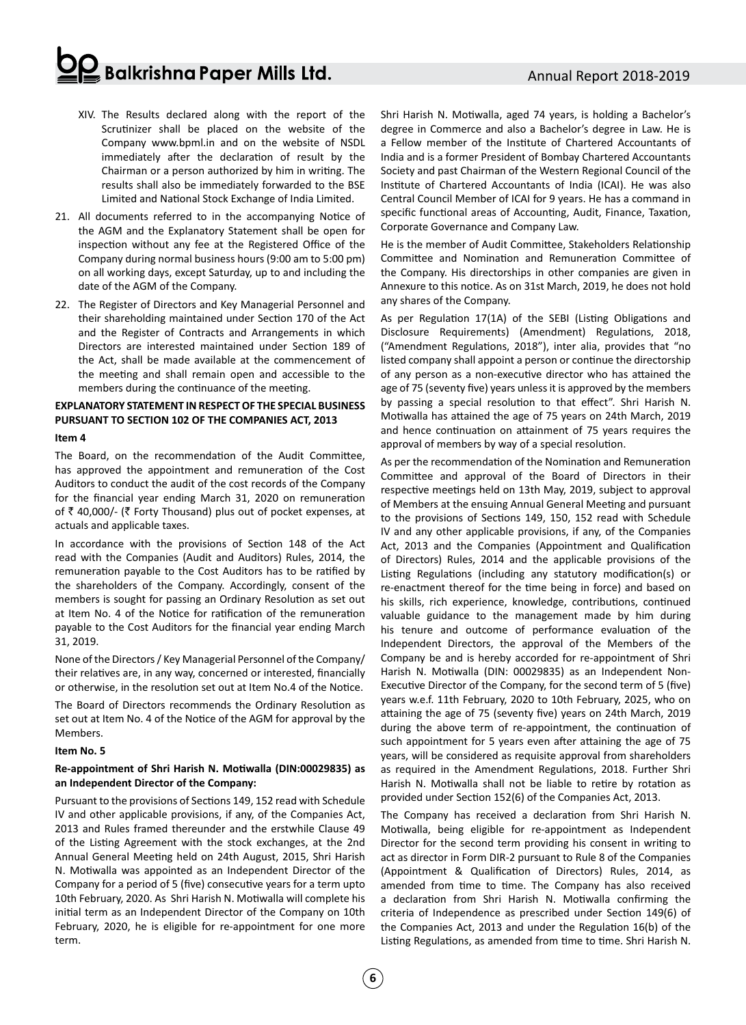## $\mathbf{Q}$  Balkrishna Paper Mills Ltd.

- XIV. The Results declared along with the report of the Scrutinizer shall be placed on the website of the Company www.bpml.in and on the website of NSDL immediately after the declaration of result by the Chairman or a person authorized by him in writing. The results shall also be immediately forwarded to the BSE Limited and National Stock Exchange of India Limited.
- 21. All documents referred to in the accompanying Notice of the AGM and the Explanatory Statement shall be open for inspection without any fee at the Registered Office of the Company during normal business hours (9:00 am to 5:00 pm) on all working days, except Saturday, up to and including the date of the AGM of the Company.
- 22. The Register of Directors and Key Managerial Personnel and their shareholding maintained under Section 170 of the Act and the Register of Contracts and Arrangements in which Directors are interested maintained under Section 189 of the Act, shall be made available at the commencement of the meeting and shall remain open and accessible to the members during the continuance of the meeting.

## **EXPLANATORY STATEMENT IN RESPECTOF THE SPECIAL BUSINESS PURSUANT TO SECTION 102 OF THE COMPANIES ACT, 2013**

#### **Item 4**

The Board, on the recommendation of the Audit Committee, has approved the appointment and remuneration of the Cost Auditors to conduct the audit of the cost records of the Company for the financial year ending March 31, 2020 on remuneration of  $\bar{\tau}$  40,000/- ( $\bar{\tau}$  Forty Thousand) plus out of pocket expenses, at actuals and applicable taxes.

In accordance with the provisions of Section 148 of the Act read with the Companies (Audit and Auditors) Rules, 2014, the remuneration payable to the Cost Auditors has to be ratified by the shareholders of the Company. Accordingly, consent of the members is sought for passing an Ordinary Resolution as set out at Item No. 4 of the Notice for ratification of the remuneration payable to the Cost Auditors for the financial year ending March 31, 2019.

None of the Directors / Key Managerial Personnel of the Company/ their relatives are, in any way, concerned or interested, financially or otherwise, in the resolution set out at Item No.4 of the Notice.

The Board of Directors recommends the Ordinary Resolution as set out at Item No. 4 of the Notice of the AGM for approval by the Members.

#### **Item No. 5**

### **Re-appointment of Shri Harish N. Motiwalla (DIN:00029835) as an Independent Director of the Company:**

Pursuant to the provisions of Sections 149, 152 read with Schedule IV and other applicable provisions, if any, of the Companies Act, 2013 and Rules framed thereunder and the erstwhile Clause 49 of the Listing Agreement with the stock exchanges, at the 2nd Annual General Meeting held on 24th August, 2015, Shri Harish N. Motiwalla was appointed as an Independent Director of the Company for a period of 5 (five) consecutive years for a term upto 10th February, 2020. As Shri Harish N. Motiwalla will complete his initial term as an Independent Director of the Company on 10th February, 2020, he is eligible for re-appointment for one more term.

Shri Harish N. Motiwalla, aged 74 years, is holding a Bachelor's degree in Commerce and also a Bachelor's degree in Law. He is a Fellow member of the Institute of Chartered Accountants of India and is a former President of Bombay Chartered Accountants Society and past Chairman of the Western Regional Council of the Institute of Chartered Accountants of India (ICAI). He was also Central Council Member of ICAI for 9 years. He has a command in specific functional areas of Accounting, Audit, Finance, Taxation, Corporate Governance and Company Law.

He is the member of Audit Committee, Stakeholders Relationship Committee and Nomination and Remuneration Committee of the Company. His directorships in other companies are given in Annexure to this notice. As on 31st March, 2019, he does not hold any shares of the Company.

As per Regulation 17(1A) of the SEBI (Listing Obligations and Disclosure Requirements) (Amendment) Regulations, 2018, ("Amendment Regulations, 2018"), inter alia, provides that "no listed company shall appoint a person or continue the directorship of any person as a non-executive director who has attained the age of 75 (seventy five) years unless it is approved by the members by passing a special resolution to that effect". Shri Harish N. Motiwalla has attained the age of 75 years on 24th March, 2019 and hence continuation on attainment of 75 years requires the approval of members by way of a special resolution.

As per the recommendation of the Nomination and Remuneration Committee and approval of the Board of Directors in their respective meetings held on 13th May, 2019, subject to approval of Members at the ensuing Annual General Meeting and pursuant to the provisions of Sections 149, 150, 152 read with Schedule IV and any other applicable provisions, if any, of the Companies Act, 2013 and the Companies (Appointment and Qualification of Directors) Rules, 2014 and the applicable provisions of the Listing Regulations (including any statutory modification(s) or re-enactment thereof for the time being in force) and based on his skills, rich experience, knowledge, contributions, continued valuable guidance to the management made by him during his tenure and outcome of performance evaluation of the Independent Directors, the approval of the Members of the Company be and is hereby accorded for re-appointment of Shri Harish N. Motiwalla (DIN: 00029835) as an Independent Non-Executive Director of the Company, for the second term of 5 (five) years w.e.f. 11th February, 2020 to 10th February, 2025, who on attaining the age of 75 (seventy five) years on 24th March, 2019 during the above term of re-appointment, the continuation of such appointment for 5 years even after attaining the age of 75 years, will be considered as requisite approval from shareholders as required in the Amendment Regulations, 2018. Further Shri Harish N. Motiwalla shall not be liable to retire by rotation as provided under Section 152(6) of the Companies Act, 2013.

The Company has received a declaration from Shri Harish N. Motiwalla, being eligible for re-appointment as Independent Director for the second term providing his consent in writing to act as director in Form DIR-2 pursuant to Rule 8 of the Companies (Appointment & Qualification of Directors) Rules, 2014, as amended from time to time. The Company has also received a declaration from Shri Harish N. Motiwalla confirming the criteria of Independence as prescribed under Section 149(6) of the Companies Act, 2013 and under the Regulation 16(b) of the Listing Regulations, as amended from time to time. Shri Harish N.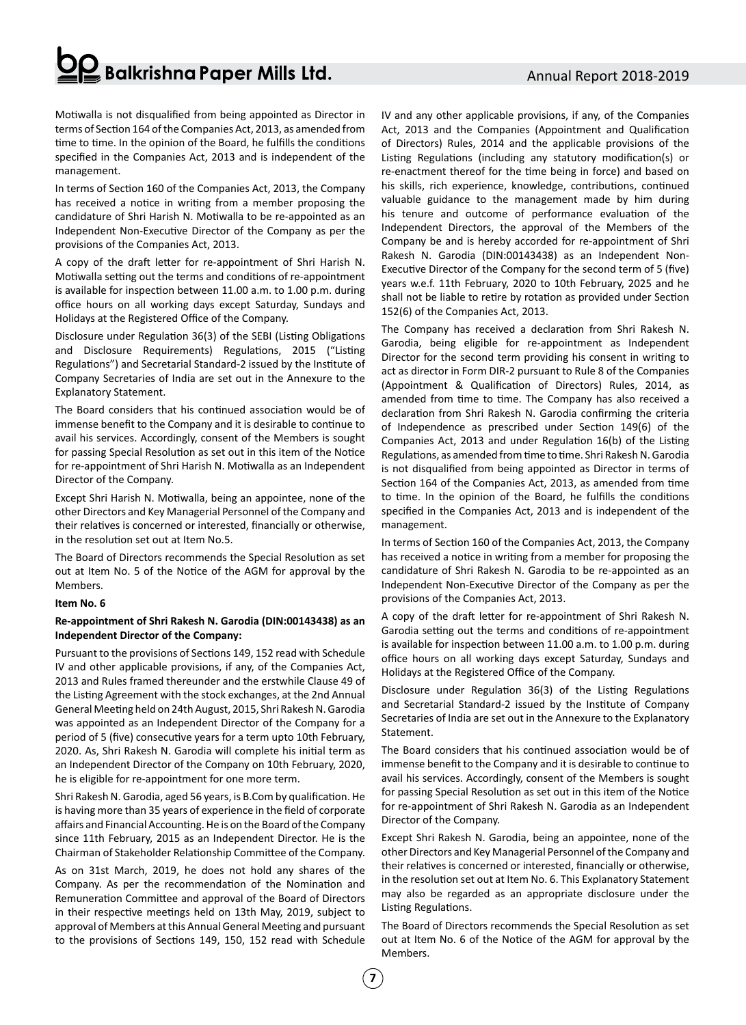## Annual Report 2018-2019

# $\geq$  Balkrishna Paper Mills Ltd.

Motiwalla is not disqualified from being appointed as Director in terms of Section 164 of the Companies Act, 2013, as amended from time to time. In the opinion of the Board, he fulfills the conditions specified in the Companies Act, 2013 and is independent of the management.

In terms of Section 160 of the Companies Act, 2013, the Company has received a notice in writing from a member proposing the candidature of Shri Harish N. Motiwalla to be re-appointed as an Independent Non-Executive Director of the Company as per the provisions of the Companies Act, 2013.

A copy of the draft letter for re-appointment of Shri Harish N. Motiwalla setting out the terms and conditions of re-appointment is available for inspection between 11.00 a.m. to 1.00 p.m. during office hours on all working days except Saturday, Sundays and Holidays at the Registered Office of the Company.

Disclosure under Regulation 36(3) of the SEBI (Listing Obligations and Disclosure Requirements) Regulations, 2015 ("Listing Regulations") and Secretarial Standard-2 issued by the Institute of Company Secretaries of India are set out in the Annexure to the Explanatory Statement.

The Board considers that his continued association would be of immense benefit to the Company and it is desirable to continue to avail his services. Accordingly, consent of the Members is sought for passing Special Resolution as set out in this item of the Notice for re-appointment of Shri Harish N. Motiwalla as an Independent Director of the Company.

Except Shri Harish N. Motiwalla, being an appointee, none of the other Directors and Key Managerial Personnel of the Company and their relatives is concerned or interested, financially or otherwise, in the resolution set out at Item No.5.

The Board of Directors recommends the Special Resolution as set out at Item No. 5 of the Notice of the AGM for approval by the Members.

### **Item No. 6**

### **Re-appointment of Shri Rakesh N. Garodia (DIN:00143438) as an Independent Director of the Company:**

Pursuant to the provisions of Sections 149, 152 read with Schedule IV and other applicable provisions, if any, of the Companies Act, 2013 and Rules framed thereunder and the erstwhile Clause 49 of the Listing Agreement with the stock exchanges, at the 2nd Annual General Meeting held on 24th August, 2015, Shri Rakesh N. Garodia was appointed as an Independent Director of the Company for a period of 5 (five) consecutive years for a term upto 10th February, 2020. As, Shri Rakesh N. Garodia will complete his initial term as an Independent Director of the Company on 10th February, 2020, he is eligible for re-appointment for one more term.

Shri Rakesh N. Garodia, aged 56 years, is B.Com by qualification. He is having more than 35 years of experience in the field of corporate affairs and Financial Accounting. He is on the Board of the Company since 11th February, 2015 as an Independent Director. He is the Chairman of Stakeholder Relationship Committee of the Company.

As on 31st March, 2019, he does not hold any shares of the Company. As per the recommendation of the Nomination and Remuneration Committee and approval of the Board of Directors in their respective meetings held on 13th May, 2019, subject to approval of Members at this Annual General Meeting and pursuant to the provisions of Sections 149, 150, 152 read with Schedule

IV and any other applicable provisions, if any, of the Companies Act, 2013 and the Companies (Appointment and Qualification of Directors) Rules, 2014 and the applicable provisions of the Listing Regulations (including any statutory modification(s) or re-enactment thereof for the time being in force) and based on his skills, rich experience, knowledge, contributions, continued valuable guidance to the management made by him during his tenure and outcome of performance evaluation of the Independent Directors, the approval of the Members of the Company be and is hereby accorded for re-appointment of Shri Rakesh N. Garodia (DIN:00143438) as an Independent Non-Executive Director of the Company for the second term of 5 (five) years w.e.f. 11th February, 2020 to 10th February, 2025 and he shall not be liable to retire by rotation as provided under Section 152(6) of the Companies Act, 2013.

The Company has received a declaration from Shri Rakesh N. Garodia, being eligible for re-appointment as Independent Director for the second term providing his consent in writing to act as director in Form DIR-2 pursuant to Rule 8 of the Companies (Appointment & Qualification of Directors) Rules, 2014, as amended from time to time. The Company has also received a declaration from Shri Rakesh N. Garodia confirming the criteria of Independence as prescribed under Section 149(6) of the Companies Act, 2013 and under Regulation 16(b) of the Listing Regulations, as amended from time to time. Shri Rakesh N. Garodia is not disqualified from being appointed as Director in terms of Section 164 of the Companies Act, 2013, as amended from time to time. In the opinion of the Board, he fulfills the conditions specified in the Companies Act, 2013 and is independent of the management.

In terms of Section 160 of the Companies Act, 2013, the Company has received a notice in writing from a member for proposing the candidature of Shri Rakesh N. Garodia to be re-appointed as an Independent Non-Executive Director of the Company as per the provisions of the Companies Act, 2013.

A copy of the draft letter for re-appointment of Shri Rakesh N. Garodia setting out the terms and conditions of re-appointment is available for inspection between 11.00 a.m. to 1.00 p.m. during office hours on all working days except Saturday, Sundays and Holidays at the Registered Office of the Company.

Disclosure under Regulation 36(3) of the Listing Regulations and Secretarial Standard-2 issued by the Institute of Company Secretaries of India are set out in the Annexure to the Explanatory Statement.

The Board considers that his continued association would be of immense benefit to the Company and it is desirable to continue to avail his services. Accordingly, consent of the Members is sought for passing Special Resolution as set out in this item of the Notice for re-appointment of Shri Rakesh N. Garodia as an Independent Director of the Company.

Except Shri Rakesh N. Garodia, being an appointee, none of the other Directors and Key Managerial Personnel of the Company and their relatives is concerned or interested, financially or otherwise, in the resolution set out at Item No. 6. This Explanatory Statement may also be regarded as an appropriate disclosure under the Listing Regulations.

The Board of Directors recommends the Special Resolution as set out at Item No. 6 of the Notice of the AGM for approval by the Members.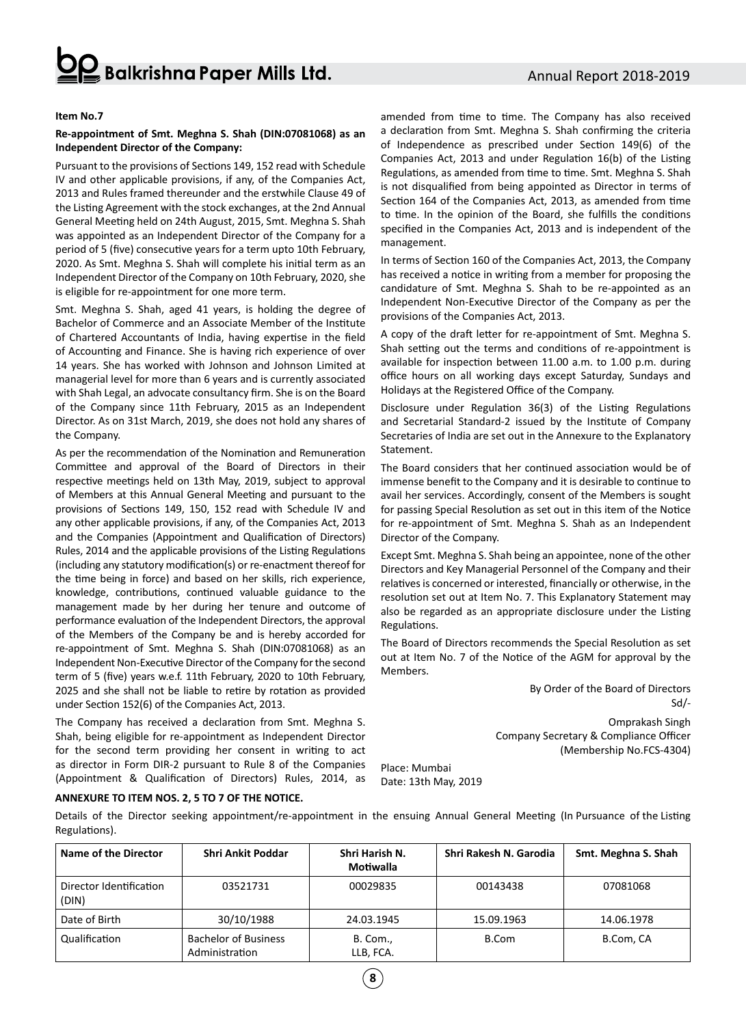## $\frac{2}{3}$  Balkrishna Paper Mills Ltd.

#### **Item No.7**

#### **Re-appointment of Smt. Meghna S. Shah (DIN:07081068) as an Independent Director of the Company:**

Pursuant to the provisions of Sections 149, 152 read with Schedule IV and other applicable provisions, if any, of the Companies Act, 2013 and Rules framed thereunder and the erstwhile Clause 49 of the Listing Agreement with the stock exchanges, at the 2nd Annual General Meeting held on 24th August, 2015, Smt. Meghna S. Shah was appointed as an Independent Director of the Company for a period of 5 (five) consecutive years for a term upto 10th February, 2020. As Smt. Meghna S. Shah will complete his initial term as an Independent Director of the Company on 10th February, 2020, she is eligible for re-appointment for one more term.

Smt. Meghna S. Shah, aged 41 years, is holding the degree of Bachelor of Commerce and an Associate Member of the Institute of Chartered Accountants of India, having expertise in the field of Accounting and Finance. She is having rich experience of over 14 years. She has worked with Johnson and Johnson Limited at managerial level for more than 6 years and is currently associated with Shah Legal, an advocate consultancy firm. She is on the Board of the Company since 11th February, 2015 as an Independent Director. As on 31st March, 2019, she does not hold any shares of the Company.

As per the recommendation of the Nomination and Remuneration Committee and approval of the Board of Directors in their respective meetings held on 13th May, 2019, subject to approval of Members at this Annual General Meeting and pursuant to the provisions of Sections 149, 150, 152 read with Schedule IV and any other applicable provisions, if any, of the Companies Act, 2013 and the Companies (Appointment and Qualification of Directors) Rules, 2014 and the applicable provisions of the Listing Regulations (including any statutory modification(s) or re-enactment thereof for the time being in force) and based on her skills, rich experience, knowledge, contributions, continued valuable guidance to the management made by her during her tenure and outcome of performance evaluation of the Independent Directors, the approval of the Members of the Company be and is hereby accorded for re-appointment of Smt. Meghna S. Shah (DIN:07081068) as an Independent Non-Executive Director of the Company for the second term of 5 (five) years w.e.f. 11th February, 2020 to 10th February, 2025 and she shall not be liable to retire by rotation as provided under Section 152(6) of the Companies Act, 2013.

The Company has received a declaration from Smt. Meghna S. Shah, being eligible for re-appointment as Independent Director for the second term providing her consent in writing to act as director in Form DIR-2 pursuant to Rule 8 of the Companies (Appointment & Qualification of Directors) Rules, 2014, as amended from time to time. The Company has also received a declaration from Smt. Meghna S. Shah confirming the criteria of Independence as prescribed under Section 149(6) of the Companies Act, 2013 and under Regulation 16(b) of the Listing Regulations, as amended from time to time. Smt. Meghna S. Shah is not disqualified from being appointed as Director in terms of Section 164 of the Companies Act, 2013, as amended from time to time. In the opinion of the Board, she fulfills the conditions specified in the Companies Act, 2013 and is independent of the management.

In terms of Section 160 of the Companies Act, 2013, the Company has received a notice in writing from a member for proposing the candidature of Smt. Meghna S. Shah to be re-appointed as an Independent Non-Executive Director of the Company as per the provisions of the Companies Act, 2013.

A copy of the draft letter for re-appointment of Smt. Meghna S. Shah setting out the terms and conditions of re-appointment is available for inspection between 11.00 a.m. to 1.00 p.m. during office hours on all working days except Saturday, Sundays and Holidays at the Registered Office of the Company.

Disclosure under Regulation 36(3) of the Listing Regulations and Secretarial Standard-2 issued by the Institute of Company Secretaries of India are set out in the Annexure to the Explanatory Statement.

The Board considers that her continued association would be of immense benefit to the Company and it is desirable to continue to avail her services. Accordingly, consent of the Members is sought for passing Special Resolution as set out in this item of the Notice for re-appointment of Smt. Meghna S. Shah as an Independent Director of the Company.

Except Smt. Meghna S. Shah being an appointee, none of the other Directors and Key Managerial Personnel of the Company and their relatives is concerned or interested, financially or otherwise, in the resolution set out at Item No. 7. This Explanatory Statement may also be regarded as an appropriate disclosure under the Listing Regulations.

The Board of Directors recommends the Special Resolution as set out at Item No. 7 of the Notice of the AGM for approval by the Members.

> By Order of the Board of Directors Sd/- Omprakash Singh Company Secretary & Compliance Officer

> > (Membership No.FCS-4304)

Place: Mumbai Date: 13th May, 2019

### **ANNEXURE TO ITEM NOS. 2, 5 TO 7 OF THE NOTICE.**

Details of the Director seeking appointment/re-appointment in the ensuing Annual General Meeting (In Pursuance of the Listing Regulations).

| Name of the Director             | Shri Ankit Poddar                             | Shri Harish N.<br>Motiwalla | Shri Rakesh N. Garodia | Smt. Meghna S. Shah |
|----------------------------------|-----------------------------------------------|-----------------------------|------------------------|---------------------|
| Director Identification<br>(DIN) | 03521731                                      | 00029835                    | 00143438               | 07081068            |
| Date of Birth                    | 30/10/1988                                    | 24.03.1945                  | 15.09.1963             | 14.06.1978          |
| Qualification                    | <b>Bachelor of Business</b><br>Administration | B. Com.,<br>LLB, FCA.       | B.Com                  | B.Com, CA           |

**8**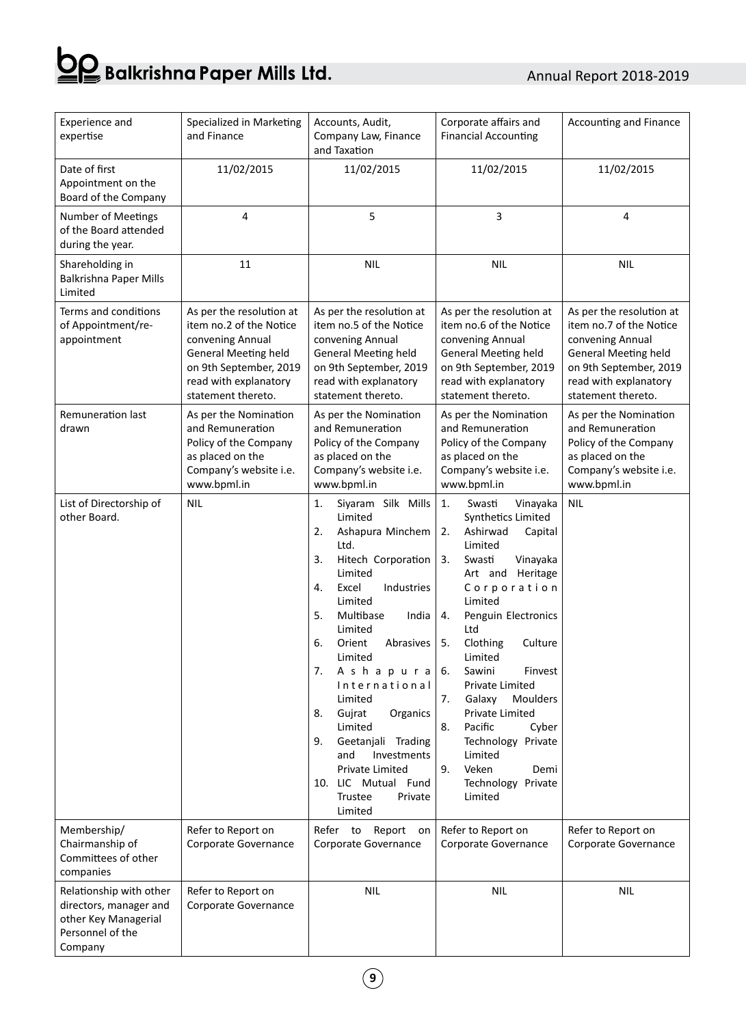# **OQ** Balkrishna Paper Mills Ltd.

## Annual Report 2018-2019

| Experience and<br>expertise                                                                              | Specialized in Marketing<br>and Finance                                                                                                                                         | Accounts, Audit,<br>Company Law, Finance<br>and Taxation                                                                                                                                                                                                                                                                                                                                                                                                     | Corporate affairs and<br><b>Financial Accounting</b>                                                                                                                                                                                                                                                                                                                                                                                                                | Accounting and Finance                                                                                                                                                          |  |
|----------------------------------------------------------------------------------------------------------|---------------------------------------------------------------------------------------------------------------------------------------------------------------------------------|--------------------------------------------------------------------------------------------------------------------------------------------------------------------------------------------------------------------------------------------------------------------------------------------------------------------------------------------------------------------------------------------------------------------------------------------------------------|---------------------------------------------------------------------------------------------------------------------------------------------------------------------------------------------------------------------------------------------------------------------------------------------------------------------------------------------------------------------------------------------------------------------------------------------------------------------|---------------------------------------------------------------------------------------------------------------------------------------------------------------------------------|--|
| Date of first<br>Appointment on the<br>Board of the Company                                              | 11/02/2015                                                                                                                                                                      | 11/02/2015                                                                                                                                                                                                                                                                                                                                                                                                                                                   | 11/02/2015                                                                                                                                                                                                                                                                                                                                                                                                                                                          | 11/02/2015                                                                                                                                                                      |  |
| Number of Meetings<br>of the Board attended<br>during the year.                                          | 4                                                                                                                                                                               | 5                                                                                                                                                                                                                                                                                                                                                                                                                                                            | 3                                                                                                                                                                                                                                                                                                                                                                                                                                                                   | 4                                                                                                                                                                               |  |
| Shareholding in<br>Balkrishna Paper Mills<br>Limited                                                     | 11                                                                                                                                                                              | <b>NIL</b>                                                                                                                                                                                                                                                                                                                                                                                                                                                   | <b>NIL</b>                                                                                                                                                                                                                                                                                                                                                                                                                                                          | <b>NIL</b>                                                                                                                                                                      |  |
| Terms and conditions<br>of Appointment/re-<br>appointment                                                | As per the resolution at<br>item no.2 of the Notice<br>convening Annual<br><b>General Meeting held</b><br>on 9th September, 2019<br>read with explanatory<br>statement thereto. | As per the resolution at<br>item no.5 of the Notice<br>convening Annual<br><b>General Meeting held</b><br>on 9th September, 2019<br>read with explanatory<br>statement thereto.                                                                                                                                                                                                                                                                              | As per the resolution at<br>item no.6 of the Notice<br>convening Annual<br><b>General Meeting held</b><br>on 9th September, 2019<br>read with explanatory<br>statement thereto.                                                                                                                                                                                                                                                                                     | As per the resolution at<br>item no.7 of the Notice<br>convening Annual<br><b>General Meeting held</b><br>on 9th September, 2019<br>read with explanatory<br>statement thereto. |  |
| <b>Remuneration last</b><br>drawn                                                                        | As per the Nomination<br>and Remuneration<br>Policy of the Company<br>as placed on the<br>Company's website i.e.<br>www.bpml.in                                                 | As per the Nomination<br>and Remuneration<br>Policy of the Company<br>as placed on the<br>Company's website i.e.<br>www.bpml.in                                                                                                                                                                                                                                                                                                                              | As per the Nomination<br>and Remuneration<br>Policy of the Company<br>as placed on the<br>Company's website i.e.<br>www.bpml.in                                                                                                                                                                                                                                                                                                                                     | As per the Nomination<br>and Remuneration<br>Policy of the Company<br>as placed on the<br>Company's website i.e.<br>www.bpml.in                                                 |  |
| List of Directorship of<br>other Board.                                                                  | <b>NIL</b>                                                                                                                                                                      | Siyaram Silk Mills<br>1.<br>Limited<br>2.<br>Ashapura Minchem<br>Ltd.<br>3.<br>Hitech Corporation<br>Limited<br>4.<br>Excel<br>Industries<br>Limited<br>5.<br>Multibase<br>India<br>Limited<br>6.<br>Orient<br>Abrasives<br>Limited<br>7.<br>Ashapura<br>International<br>Limited<br>8.<br>Gujrat<br>Organics<br>Limited<br>9.<br>Geetanjali Trading<br>and<br>Investments<br><b>Private Limited</b><br>10. LIC Mutual Fund<br>Trustee<br>Private<br>Limited | 1.<br>Swasti<br>Vinayaka<br>Synthetics Limited<br>Ashirwad<br>2.<br>Capital<br>Limited<br>3.<br>Vinayaka<br>Swasti<br>Art and Heritage<br>Corporation<br>Limited<br>Penguin Electronics<br>4.<br>Ltd<br>5.<br>Clothing<br>Culture<br>Limited<br>Sawini<br>Finvest<br>6.<br><b>Private Limited</b><br>Galaxy<br>7.<br>Moulders<br>Private Limited<br>Pacific<br>8.<br>Cyber<br>Technology Private<br>Limited<br>9.<br>Veken<br>Demi<br>Technology Private<br>Limited | <b>NIL</b>                                                                                                                                                                      |  |
| Membership/<br>Chairmanship of<br>Committees of other<br>companies                                       | Refer to Report on<br>Corporate Governance                                                                                                                                      | Refer to<br>Report<br>on<br>Corporate Governance                                                                                                                                                                                                                                                                                                                                                                                                             | Refer to Report on<br>Corporate Governance                                                                                                                                                                                                                                                                                                                                                                                                                          | Refer to Report on<br>Corporate Governance                                                                                                                                      |  |
| Relationship with other<br>directors, manager and<br>other Key Managerial<br>Personnel of the<br>Company | Refer to Report on<br>Corporate Governance                                                                                                                                      | <b>NIL</b>                                                                                                                                                                                                                                                                                                                                                                                                                                                   | <b>NIL</b>                                                                                                                                                                                                                                                                                                                                                                                                                                                          | <b>NIL</b>                                                                                                                                                                      |  |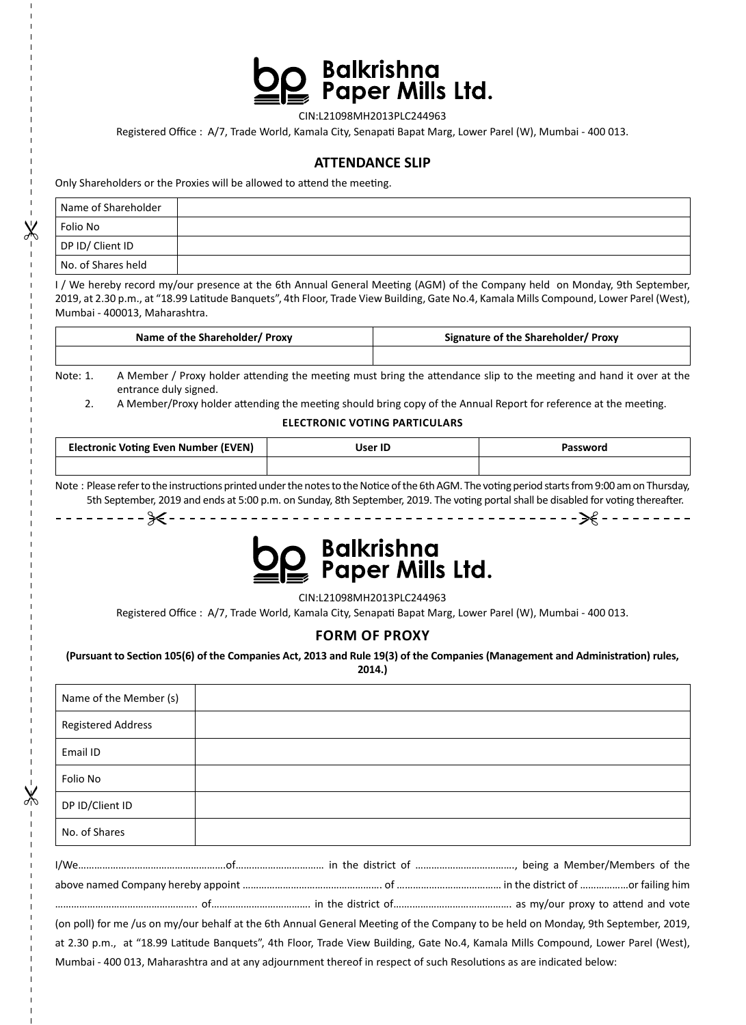

CIN:L21098MH2013PLC244963

Registered Office : A/7, Trade World, Kamala City, Senapati Bapat Marg, Lower Parel (W), Mumbai - 400 013.

## **ATTENDANCE SLIP**

Only Shareholders or the Proxies will be allowed to attend the meeting.

Ж

 $\chi$ 

| Name of Shareholder |  |
|---------------------|--|
| Folio No            |  |
| DP ID/ Client ID    |  |
| No. of Shares held  |  |

I / We hereby record my/our presence at the 6th Annual General Meeting (AGM) of the Company held on Monday, 9th September, 2019, at 2.30 p.m., at "18.99 Latitude Banquets", 4th Floor, Trade View Building, Gate No.4, Kamala Mills Compound, Lower Parel (West), Mumbai - 400013, Maharashtra.

| Name of the Shareholder/ Proxy | Signature of the Shareholder/ Proxy |  |
|--------------------------------|-------------------------------------|--|
|                                |                                     |  |

Note: 1. A Member / Proxy holder attending the meeting must bring the attendance slip to the meeting and hand it over at the entrance duly signed.

2. A Member/Proxy holder attending the meeting should bring copy of the Annual Report for reference at the meeting.

## **ELECTRONIC VOTING PARTICULARS**

| <b>Electronic Voting Even Number (EVEN)</b> | User ID | Password |
|---------------------------------------------|---------|----------|
|                                             |         |          |

Note : Please refer to the instructions printed under the notes to the Notice of the 6th AGM. The voting period starts from 9:00 am on Thursday, 5th September, 2019 and ends at 5:00 p.m. on Sunday, 8th September, 2019. The voting portal shall be disabled for voting thereafter. 



CIN:L21098MH2013PLC244963 Registered Office : A/7, Trade World, Kamala City, Senapati Bapat Marg, Lower Parel (W), Mumbai - 400 013.

## **FORM OF PROXY**

**(Pursuant to Section 105(6) of the Companies Act, 2013 and Rule 19(3) of the Companies (Management and Administration) rules, 2014.)**

| Name of the Member (s)    |                                                                                                                                   |
|---------------------------|-----------------------------------------------------------------------------------------------------------------------------------|
| <b>Registered Address</b> |                                                                                                                                   |
| Email ID                  |                                                                                                                                   |
| Folio No                  |                                                                                                                                   |
| DP ID/Client ID           |                                                                                                                                   |
| No. of Shares             |                                                                                                                                   |
|                           |                                                                                                                                   |
|                           |                                                                                                                                   |
|                           |                                                                                                                                   |
|                           | (on poll) for me /us on my/our behalf at the 6th Annual General Meeting of the Company to be held on Monday, 9th September, 2019, |
|                           | at 2.30 p.m., at "18.99 Latitude Banquets", 4th Floor, Trade View Building, Gate No.4, Kamala Mills Compound, Lower Parel (West), |
|                           | Mumbai - 400 013, Maharashtra and at any adjournment thereof in respect of such Resolutions as are indicated below:               |